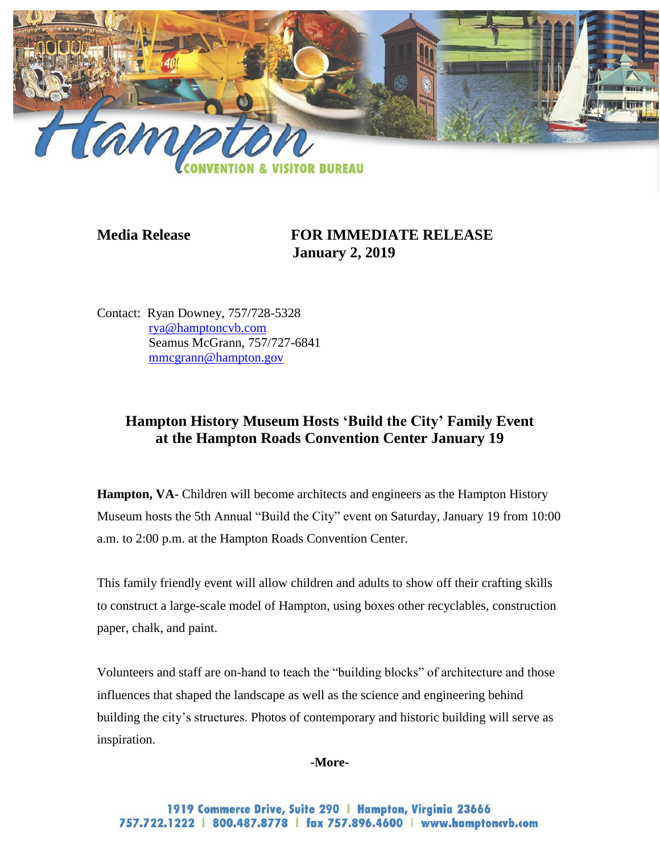

**Media Release FOR IMMEDIATE RELEASE January 2, 2019**

Contact: Ryan Downey, 757/728-5328 [rya@hamptoncvb.com](mailto:rya@hamptoncvb.com) Seamus McGrann, 757/727-6841 [mmcgrann@hampton.gov](mailto:mmcgrann@hampton.gov)

# **Hampton History Museum Hosts 'Build the City' Family Event at the Hampton Roads Convention Center January 19**

**Hampton, VA-** Children will become architects and engineers as the Hampton History Museum hosts the 5th Annual "Build the City" event on Saturday, January 19 from 10:00 a.m. to 2:00 p.m. at the Hampton Roads Convention Center.

This family friendly event will allow children and adults to show off their crafting skills to construct a large-scale model of Hampton, using boxes other recyclables, construction paper, chalk, and paint.

Volunteers and staff are on-hand to teach the "building blocks" of architecture and those influences that shaped the landscape as well as the science and engineering behind building the city's structures. Photos of contemporary and historic building will serve as inspiration.

**-More-**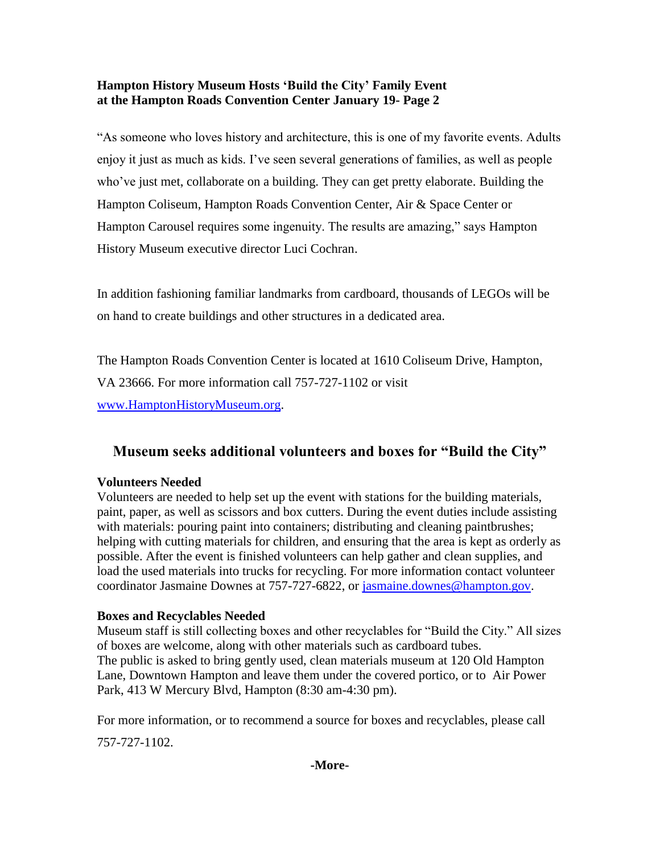### **Hampton History Museum Hosts 'Build the City' Family Event at the Hampton Roads Convention Center January 19- Page 2**

"As someone who loves history and architecture, this is one of my favorite events. Adults enjoy it just as much as kids. I've seen several generations of families, as well as people who've just met, collaborate on a building. They can get pretty elaborate. Building the Hampton Coliseum, Hampton Roads Convention Center, Air & Space Center or Hampton Carousel requires some ingenuity. The results are amazing," says Hampton History Museum executive director Luci Cochran.

In addition fashioning familiar landmarks from cardboard, thousands of LEGOs will be on hand to create buildings and other structures in a dedicated area.

The Hampton Roads Convention Center is located at 1610 Coliseum Drive, Hampton, VA 23666. For more information call 757-727-1102 or visit [www.HamptonHistoryMuseum.org.](http://www.hamptonhistorymuseum.org/)

# **Museum seeks additional volunteers and boxes for "Build the City"**

#### **Volunteers Needed**

Volunteers are needed to help set up the event with stations for the building materials, paint, paper, as well as scissors and box cutters. During the event duties include assisting with materials: pouring paint into containers; distributing and cleaning paintbrushes; helping with cutting materials for children, and ensuring that the area is kept as orderly as possible. After the event is finished volunteers can help gather and clean supplies, and load the used materials into trucks for recycling. For more information contact volunteer coordinator Jasmaine Downes at 757-727-6822, or jasmaine.downes@hampton.gov.

## **Boxes and Recyclables Needed**

Museum staff is still collecting boxes and other recyclables for "Build the City." All sizes of boxes are welcome, along with other materials such as cardboard tubes. The public is asked to bring gently used, clean materials museum at 120 Old Hampton Lane, Downtown Hampton and leave them under the covered portico, or to Air Power Park, 413 W Mercury Blvd, Hampton (8:30 am-4:30 pm).

For more information, or to recommend a source for boxes and recyclables, please call 757-727-1102.